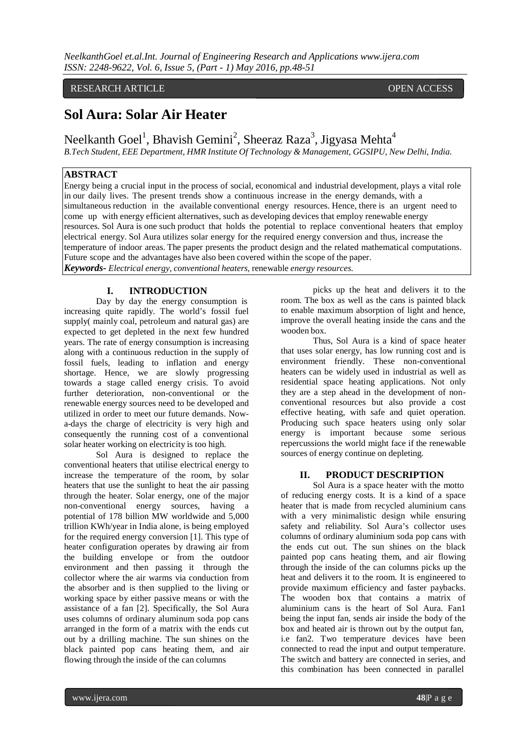# RESEARCH ARTICLE **CONSERVERS** OPEN ACCESS

# **Sol Aura: Solar Air Heater**

Neelkanth Goel $^1$ , Bhavish Gemini $^2$ , Sheeraz Raza $^3$ , Jigyasa Mehta $^4$ 

*B.Tech Student, EEE Department, HMR Institute Of Technology & Management, GGSIPU, New Delhi, India.*

# **ABSTRACT**

Energy being a crucial input in the process of social, economical and industrial development, plays a vital role in our daily lives. The present trends show a continuous increase in the energy demands, with a simultaneous reduction in the available conventional energy resources. Hence, there is an urgent need to come up with energy efficient alternatives, such as developing devices that employ renewable energy resources. Sol Aura is one such product that holds the potential to replace conventional heaters that employ electrical energy. Sol Aura utilizes solar energy for the required energy conversion and thus, increase the temperature of indoor areas. The paper presents the product design and the related mathematical computations. Future scope and the advantages have also been covered within the scope of the paper. *Keywords- Electrical energy, conventional heaters,* renewable *energy resources.*

# **I. INTRODUCTION**

Day by day the energy consumption is increasing quite rapidly. The world's fossil fuel supply( mainly coal, petroleum and natural gas) are expected to get depleted in the next few hundred years. The rate of energy consumption is increasing along with a continuous reduction in the supply of fossil fuels, leading to inflation and energy shortage. Hence, we are slowly progressing towards a stage called energy crisis. To avoid further deterioration, non-conventional or the renewable energy sources need to be developed and utilized in order to meet our future demands. Nowa-days the charge of electricity is very high and consequently the running cost of a conventional solar heater working on electricity is too high.

Sol Aura is designed to replace the conventional heaters that utilise electrical energy to increase the temperature of the room, by solar heaters that use the sunlight to heat the air passing through the heater. Solar energy, one of the major non-conventional energy sources, having a potential of 178 billion MW worldwide and 5,000 trillion KWh/year in India alone, is being employed for the required energy conversion [1]. This type of heater configuration operates by drawing air from the building envelope or from the outdoor environment and then passing it through the collector where the air warms via conduction from the absorber and is then supplied to the living or working space by either passive means or with the assistance of a fan [2]. Specifically, the Sol Aura uses columns of ordinary aluminum soda pop cans arranged in the form of a matrix with the ends cut out by a drilling machine. The sun shines on the black painted pop cans heating them, and air flowing through the inside of the can columns

picks up the heat and delivers it to the room. The box as well as the cans is painted black to enable maximum absorption of light and hence, improve the overall heating inside the cans and the wooden box.

Thus, Sol Aura is a kind of space heater that uses solar energy, has low running cost and is environment friendly. These non-conventional heaters can be widely used in industrial as well as residential space heating applications. Not only they are a step ahead in the development of nonconventional resources but also provide a cost effective heating, with safe and quiet operation. Producing such space heaters using only solar energy is important because some serious repercussions the world might face if the renewable sources of energy continue on depleting.

# **II. PRODUCT DESCRIPTION**

Sol Aura is a space heater with the motto of reducing energy costs. It is a kind of a space heater that is made from recycled aluminium cans with a very minimalistic design while ensuring safety and reliability. Sol Aura's collector uses columns of ordinary aluminium soda pop cans with the ends cut out. The sun shines on the black painted pop cans heating them, and air flowing through the inside of the can columns picks up the heat and delivers it to the room. It is engineered to provide maximum efficiency and faster paybacks. The wooden box that contains a matrix of aluminium cans is the heart of Sol Aura. Fan1 being the input fan, sends air inside the body of the box and heated air is thrown out by the output fan, i.e fan2. Two temperature devices have been connected to read the input and output temperature. The switch and battery are connected in series, and this combination has been connected in parallel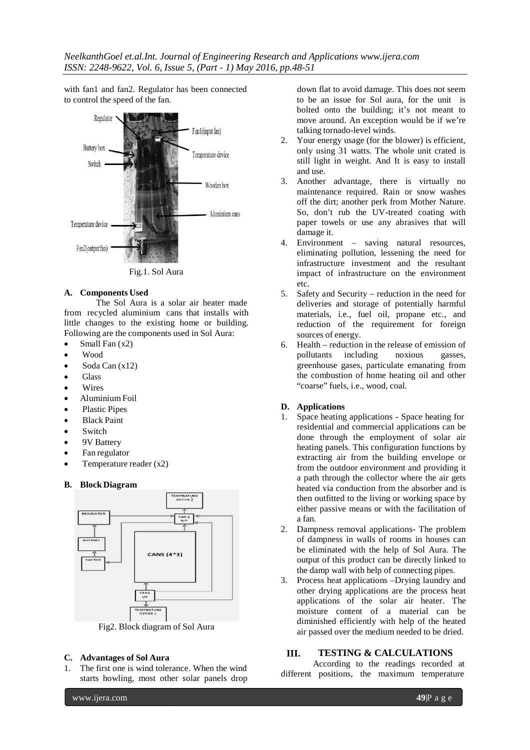with fan1 and fan2. Regulator has been connected to control the speed of the fan.



Fig.1. Sol Aura

### **A. Components Used**

The Sol Aura is a solar air heater made from recycled aluminium cans that installs with little changes to the existing home or building. Following are the components used in Sol Aura:

- Small Fan  $(x2)$
- Wood
- Soda Can (x12)
- Glass
- **Wires**
- Aluminium Foil
- Plastic Pipes
- Black Paint
- **Switch**
- 9V Battery
- Fan regulator
- Temperature reader  $(x2)$

### **B. Block Diagram**



Fig2. Block diagram of Sol Aura

### **C. Advantages of Sol Aura**

1. The first one is wind tolerance. When the wind starts howling, most other solar panels drop down flat to avoid damage. This does not seem to be an issue for Sol aura, for the unit is bolted onto the building; it's not meant to move around. An exception would be if we're talking tornado-level winds.

- 2. Your energy usage (for the blower) is efficient, only using 31 watts. The whole unit crated is still light in weight. And It is easy to install and use.
- 3. Another advantage, there is virtually no maintenance required. Rain or snow washes off the dirt; another perk from Mother Nature. So, don't rub the UV-treated coating with paper towels or use any abrasives that will damage it.
- 4. Environment saving natural resources, eliminating pollution, lessening the need for infrastructure investment and the resultant impact of infrastructure on the environment etc.
- 5. Safety and Security reduction in the need for deliveries and storage of potentially harmful materials, i.e., fuel oil, propane etc., and reduction of the requirement for foreign sources of energy.
- 6. Health reduction in the release of emission of pollutants including noxious gasses, pollutants including noxious gasses, greenhouse gases, particulate emanating from the combustion of home heating oil and other "coarse" fuels, i.e., wood, coal.

# **D. Applications**

- 1. Space heating applications Space heating for residential and commercial applications can be done through the employment of solar air heating panels. This configuration functions by extracting air from the building envelope or from the outdoor environment and providing it a path through the collector where the air gets heated via conduction from the absorber and is then outfitted to the living or working space by either passive means or with the facilitation of a fan.
- 2. Dampness removal applications- The problem of dampness in walls of rooms in houses can be eliminated with the help of Sol Aura. The output of this product can be directly linked to the damp wall with help of connecting pipes.
- 3. Process heat applications –Drying laundry and other drying applications are the process heat applications of the solar air heater. The moisture content of a material can be diminished efficiently with help of the heated air passed over the medium needed to be dried.

# **III. TESTING & CALCULATIONS**

According to the readings recorded at different positions, the maximum temperature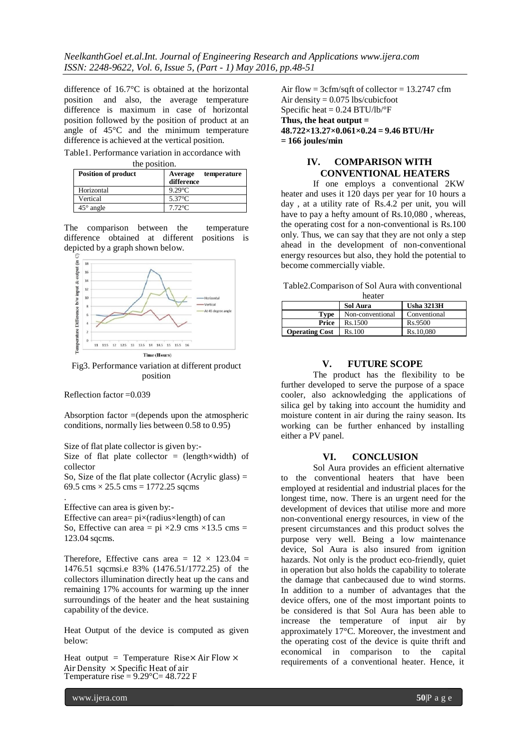difference of 16.7°C is obtained at the horizontal position and also, the average temperature difference is maximum in case of horizontal position followed by the position of product at an angle of 45°C and the minimum temperature difference is achieved at the vertical position.

Table1. Performance variation in accordance with

| the position. |
|---------------|
|               |

| <b>Position of product</b> | temperature<br>Average<br>difference |
|----------------------------|--------------------------------------|
| Horizontal                 | $9.29^{\circ}$ C                     |
| Vertical                   | $5.37^{\circ}$ C                     |
| $45^{\circ}$ angle         | $7.72^{\circ}$ C                     |

The comparison between the temperature difference obtained at different positions is depicted by a graph shown below.



Fig3. Performance variation at different product position

Reflection factor =0.039

.

Absorption factor  $=$  (depends upon the atmospheric conditions, normally lies between 0.58 to 0.95)

Size of flat plate collector is given by:-

Size of flat plate collector =  $(length \times width)$  of collector

So, Size of the flat plate collector (Acrylic glass)  $=$ 69.5 cms  $\times$  25.5 cms = 1772.25 sqcms

Effective can area is given by:- Effective can area= $pi \times (radius \times length)$  of can So, Effective can area =  $pi \times 2.9$  cms  $\times 13.5$  cms = 123.04 sqcms.

Therefore, Effective cans area =  $12 \times 123.04$  = 1476.51 sqcmsi.e 83% (1476.51/1772.25) of the collectors illumination directly heat up the cans and remaining 17% accounts for warming up the inner surroundings of the heater and the heat sustaining capability of the device.

Heat Output of the device is computed as given below:

Heat output = Temperature Rise $\times$  Air Flow  $\times$ Air Density  $\times$  Specific Heat of air Temperature rise =  $9.29^{\circ}$ C= 48.722 F

Air flow =  $3cfm/sqft$  of collector = 13.2747 cfm Air density = 0.075 lbs/cubicfoot Specific heat  $= 0.24$  BTU/lb/ $\degree$ F **Thus, the heat output = 48.722×13.27×0.061×0.24 = 9.46 BTU/Hr = 166 joules/min**

# **IV. COMPARISON WITH CONVENTIONAL HEATERS**

If one employs a conventional 2KW heater and uses it 120 days per year for 10 hours a day , at a utility rate of Rs.4.2 per unit, you will have to pay a hefty amount of Rs.10,080 , whereas, the operating cost for a non-conventional is Rs.100 only. Thus, we can say that they are not only a step ahead in the development of non-conventional energy resources but also, they hold the potential to become commercially viable.

Table2.Comparison of Sol Aura with conventional heater

| neatel                |                  |                   |  |
|-----------------------|------------------|-------------------|--|
|                       | Sol Aura         | <b>Usha 3213H</b> |  |
| Type                  | Non-conventional | Conventional      |  |
| Price                 | Rs.1500          | Rs.9500           |  |
| <b>Operating Cost</b> | Rs.100           | Rs.10.080         |  |

#### **V. FUTURE SCOPE**

The product has the flexibility to be further developed to serve the purpose of a space cooler, also acknowledging the applications of silica gel by taking into account the humidity and moisture content in air during the rainy season. Its working can be further enhanced by installing either a PV panel.

#### **VI. CONCLUSION**

Sol Aura provides an efficient alternative to the conventional heaters that have been employed at residential and industrial places for the longest time, now. There is an urgent need for the development of devices that utilise more and more non-conventional energy resources, in view of the present circumstances and this product solves the purpose very well. Being a low maintenance device, Sol Aura is also insured from ignition hazards. Not only is the product eco-friendly, quiet in operation but also holds the capability to tolerate the damage that canbecaused due to wind storms. In addition to a number of advantages that the device offers, one of the most important points to be considered is that Sol Aura has been able to increase the temperature of input air by approximately 17°C. Moreover, the investment and the operating cost of the device is quite thrift and economical in comparison to the capital requirements of a conventional heater. Hence, it